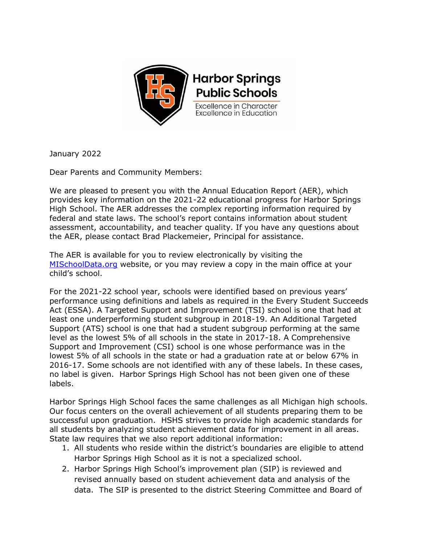

January 2022

Dear Parents and Community Members:

We are pleased to present you with the Annual Education Report (AER), which provides key information on the 2021-22 educational progress for Harbor Springs High School. The AER addresses the complex reporting information required by federal and state laws. The school's report contains information about student assessment, accountability, and teacher quality. If you have any questions about the AER, please contact Brad Plackemeier, Principal for assistance.

The AER is available for you to review electronically by visiting the [MISchoolData.org](https://bit.ly/38QgggG) website, or you may review a copy in the main office at your child's school.

For the 2021-22 school year, schools were identified based on previous years' performance using definitions and labels as required in the Every Student Succeeds Act (ESSA). A Targeted Support and Improvement (TSI) school is one that had at least one underperforming student subgroup in 2018-19. An Additional Targeted Support (ATS) school is one that had a student subgroup performing at the same level as the lowest 5% of all schools in the state in 2017-18. A Comprehensive Support and Improvement (CSI) school is one whose performance was in the lowest 5% of all schools in the state or had a graduation rate at or below 67% in 2016-17. Some schools are not identified with any of these labels. In these cases, no label is given. Harbor Springs High School has not been given one of these labels.

Harbor Springs High School faces the same challenges as all Michigan high schools. Our focus centers on the overall achievement of all students preparing them to be successful upon graduation. HSHS strives to provide high academic standards for all students by analyzing student achievement data for improvement in all areas. State law requires that we also report additional information:

- 1. All students who reside within the district's boundaries are eligible to attend Harbor Springs High School as it is not a specialized school.
- 2. Harbor Springs High School's improvement plan (SIP) is reviewed and revised annually based on student achievement data and analysis of the data. The SIP is presented to the district Steering Committee and Board of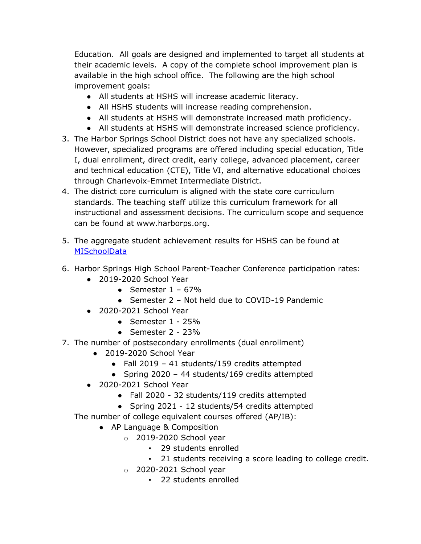Education. All goals are designed and implemented to target all students at their academic levels. A copy of the complete school improvement plan is available in the high school office. The following are the high school improvement goals:

- All students at HSHS will increase academic literacy.
- All HSHS students will increase reading comprehension.
- All students at HSHS will demonstrate increased math proficiency.
- All students at HSHS will demonstrate increased science proficiency.
- 3. The Harbor Springs School District does not have any specialized schools. However, specialized programs are offered including special education, Title I, dual enrollment, direct credit, early college, advanced placement, career and technical education (CTE), Title VI, and alternative educational choices through Charlevoix-Emmet Intermediate District.
- 4. The district core curriculum is aligned with the state core curriculum standards. The teaching staff utilize this curriculum framework for all instructional and assessment decisions. The curriculum scope and sequence can be found at www.harborps.org.
- 5. The aggregate student achievement results for HSHS can be found at **[MISchoolData](http://bit.ly/2HTgMyC)**
- 6. Harbor Springs High School Parent-Teacher Conference participation rates:
	- 2019-2020 School Year
		- Semester  $1 67%$
		- Semester 2 Not held due to COVID-19 Pandemic
	- 2020-2021 School Year
		- $\bullet$  Semester 1 25%
		- Semester  $2 23%$
- 7. The number of postsecondary enrollments (dual enrollment)
	- 2019-2020 School Year
		- Fall 2019 41 students/159 credits attempted
		- Spring 2020 44 students/169 credits attempted
	- 2020-2021 School Year
		- Fall 2020 32 students/119 credits attempted
		- Spring 2021 12 students/54 credits attempted

The number of college equivalent courses offered (AP/IB):

- AP Language & Composition
	- o 2019-2020 School year
		- 29 students enrolled
		- 21 students receiving a score leading to college credit.
	- $\circ$  2020-2021 School year
		- 22 students enrolled